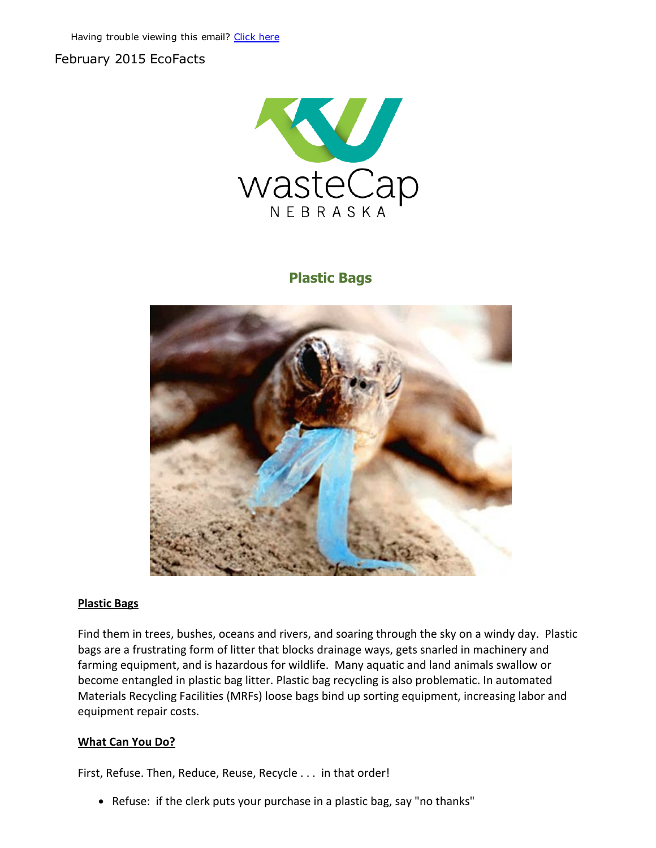## February 2015 EcoFacts



# Plastic Bags



#### Plastic Bags

Find them in trees, bushes, oceans and rivers, and soaring through the sky on a windy day. Plastic bags are a frustrating form of litter that blocks drainage ways, gets snarled in machinery and farming equipment, and is hazardous for wildlife. Many aquatic and land animals swallow or become entangled in plastic bag litter. Plastic bag recycling is also problematic. In automated Materials Recycling Facilities (MRFs) loose bags bind up sorting equipment, increasing labor and equipment repair costs.

#### What Can You Do?

First, Refuse. Then, Reduce, Reuse, Recycle . . . in that order!

Refuse: if the clerk puts your purchase in a plastic bag, say "no thanks"